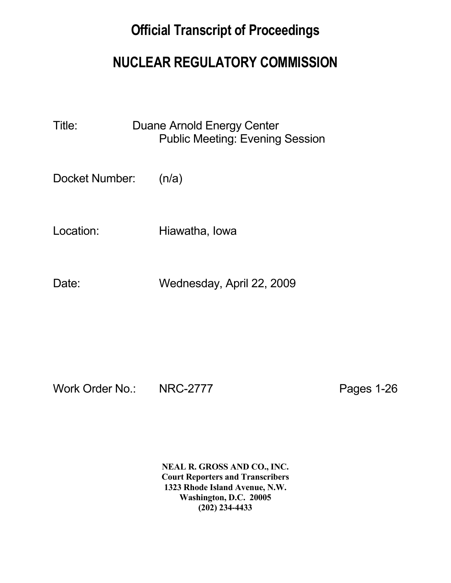## **Official Transcript of Proceedings**

## **NUCLEAR REGULATORY COMMISSION**

Title: Duane Arnold Energy Center Public Meeting: Evening Session

Docket Number: (n/a)

Location: Hiawatha, Iowa

Date: Wednesday, April 22, 2009

Work Order No.: NRC-2777 Pages 1-26

 **NEAL R. GROSS AND CO., INC. Court Reporters and Transcribers 1323 Rhode Island Avenue, N.W. Washington, D.C. 20005 (202) 234-4433**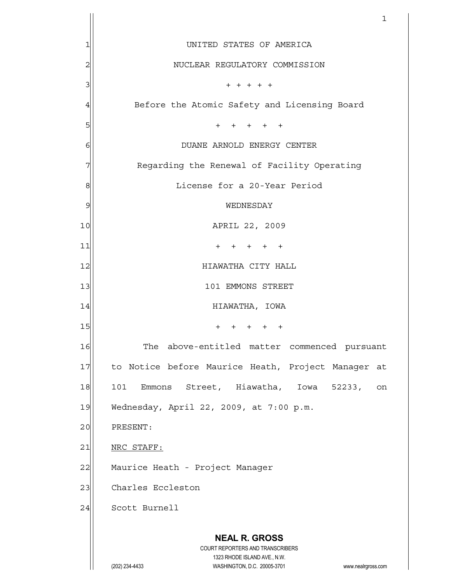|                | 1                                                                   |
|----------------|---------------------------------------------------------------------|
| 1              | UNITED STATES OF AMERICA                                            |
| $\overline{c}$ | NUCLEAR REGULATORY COMMISSION                                       |
| 3              | $+ + + + + +$                                                       |
| 4              | Before the Atomic Safety and Licensing Board                        |
| 5              | $+$<br>+ + + +                                                      |
| 6              | DUANE ARNOLD ENERGY CENTER                                          |
|                | Regarding the Renewal of Facility Operating                         |
| 8              | License for a 20-Year Period                                        |
| 9              | WEDNESDAY                                                           |
| 10             | APRIL 22, 2009                                                      |
| 11             | $+$<br>$+$<br>$+$<br>$+$                                            |
| 12             | HIAWATHA CITY HALL                                                  |
| 13             | 101 EMMONS STREET                                                   |
| 14             | HIAWATHA, IOWA                                                      |
| 15             | $\pm$<br>$+$ $-$<br>$\pm$<br>$\pm$<br>$+$                           |
| 16             | The above-entitled matter commenced pursuant                        |
| 17             | to Notice before Maurice Heath, Project Manager at                  |
| 18             | Emmons Street, Hiawatha, Iowa 52233,<br>101<br>on                   |
| 19             | Wednesday, April 22, 2009, at 7:00 p.m.                             |
| 20             | PRESENT:                                                            |
| 21             | NRC STAFF:                                                          |
| 22             | Maurice Heath - Project Manager                                     |
| 23             | Charles Eccleston                                                   |
| 24             | Scott Burnell                                                       |
|                | <b>NEAL R. GROSS</b>                                                |
|                | COURT REPORTERS AND TRANSCRIBERS<br>1323 RHODE ISLAND AVE., N.W.    |
|                | WASHINGTON, D.C. 20005-3701<br>(202) 234-4433<br>www.nealrgross.com |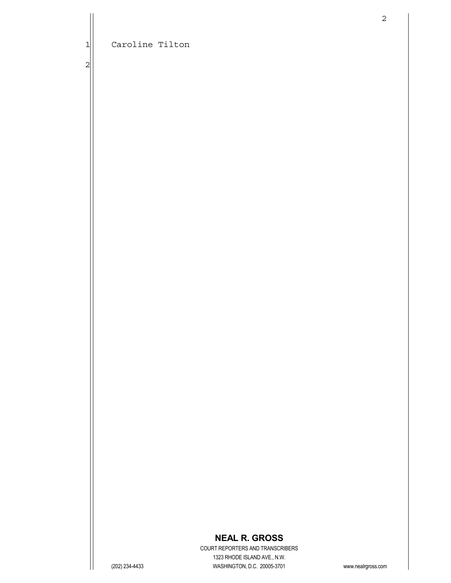2

## **NEAL R. GROSS**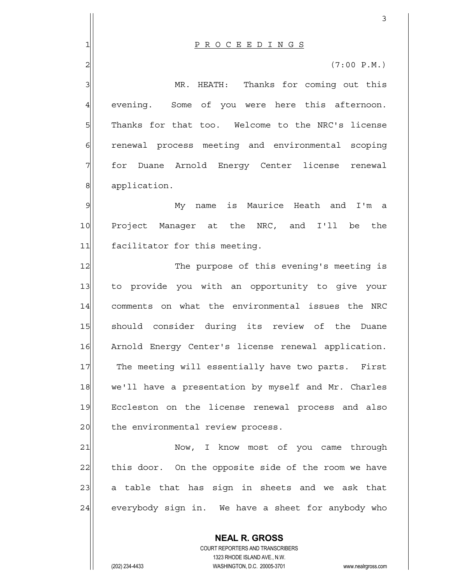4 evening. Some of you were here this afternoon. 5 Thanks for that too. Welcome to the NRC's license 6 6 renewal process meeting and environmental scoping 7 for Duane Arnold Energy Center license renewal 8 application.

9 My name is Maurice Heath and I'm a 10 Project Manager at the NRC, and I'll be the 11 facilitator for this meeting.

12 The purpose of this evening's meeting is 13 to provide you with an opportunity to give your 14 comments on what the environmental issues the NRC 15 should consider during its review of the Duane 16 Arnold Energy Center's license renewal application. 17 The meeting will essentially have two parts. First 18 we'll have a presentation by myself and Mr. Charles 19 Eccleston on the license renewal process and also 20 the environmental review process.

21 Now, I know most of you came through 22 this door. On the opposite side of the room we have 23 a table that has sign in sheets and we ask that 24 everybody sign in. We have a sheet for anybody who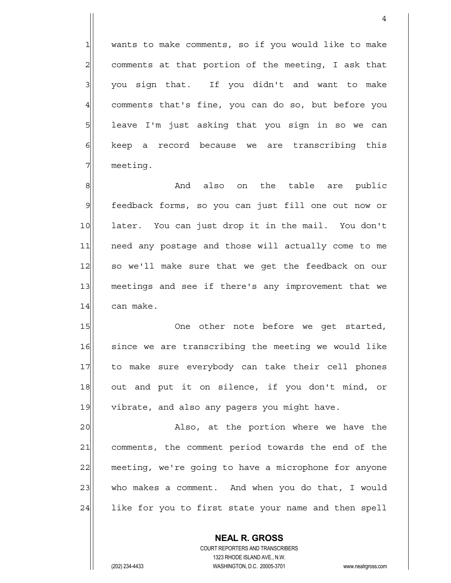$1$  wants to make comments, so if you would like to make  $2$  comments at that portion of the meeting, I ask that  $3$  you sign that. If you didn't and want to make 4 comments that's fine, you can do so, but before you 5 | leave I'm just asking that you sign in so we can  $6$  keep a record because we are transcribing this 7 meeting.

4

8 || Shephendalso on the table are public 9 feedback forms, so you can just fill one out now or 10 later. You can just drop it in the mail. You don't 11 | need any postage and those will actually come to me 12 so we'll make sure that we get the feedback on our 13 meetings and see if there's any improvement that we 14 can make.

15 One other note before we get started, 16 since we are transcribing the meeting we would like 17 to make sure everybody can take their cell phones 18 out and put it on silence, if you don't mind, or 19 vibrate, and also any pagers you might have.

20 also, at the portion where we have the 21 comments, the comment period towards the end of the 22 meeting, we're going to have a microphone for anyone 23 who makes a comment. And when you do that, I would 24 like for you to first state your name and then spell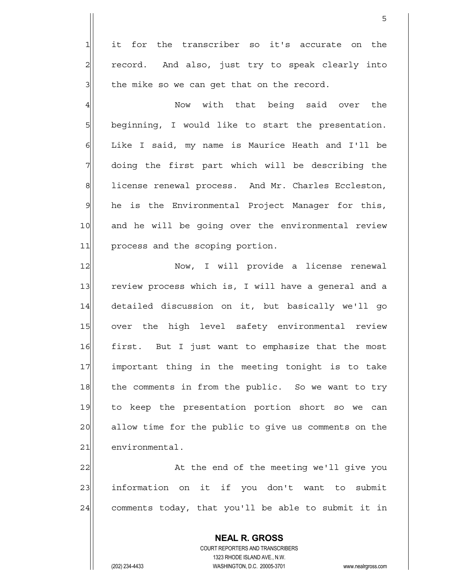$1$  it for the transcriber so it's accurate on the  $2$  record. And also, just try to speak clearly into  $3$  the mike so we can get that on the record.

<u>5</u>

4 | Now with that being said over the  $5$  beginning, I would like to start the presentation. 6 | Like I said, my name is Maurice Heath and I'll be  $7$  doing the first part which will be describing the 8 Billicense renewal process. And Mr. Charles Eccleston, 9 he is the Environmental Project Manager for this, 10 and he will be going over the environmental review 11 process and the scoping portion.

12 | Now, I will provide a license renewal 13 review process which is, I will have a general and a 14 detailed discussion on it, but basically we'll go 15 over the high level safety environmental review 16 first. But I just want to emphasize that the most 17 important thing in the meeting tonight is to take 18 the comments in from the public. So we want to try 19 to keep the presentation portion short so we can 20 allow time for the public to give us comments on the 21 environmental.

22 At the end of the meeting we'll give you 23 information on it if you don't want to submit  $24$  comments today, that you'll be able to submit it in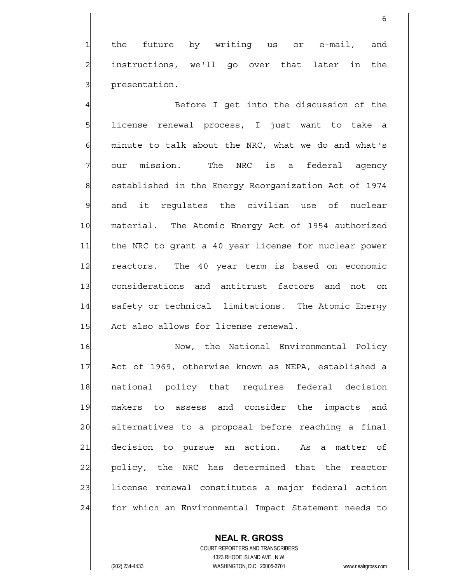1 the future by writing us or e-mail, and 2| instructions, we'll go over that later in the 3 | presentation.

 $\sim$  6

4 and the U G Before I get into the discussion of the 5 | license renewal process, I just want to take a 6| minute to talk about the NRC, what we do and what's  $7$  our mission. The NRC is a federal agency 8 established in the Energy Reorganization Act of 1974 9 and it regulates the civilian use of nuclear 10 material. The Atomic Energy Act of 1954 authorized 11 the NRC to grant a 40 year license for nuclear power 12 reactors. The 40 year term is based on economic 13 considerations and antitrust factors and not on 14 safety or technical limitations. The Atomic Energy 15 Act also allows for license renewal.

16 | Now, the National Environmental Policy 17 Act of 1969, otherwise known as NEPA, established a 18 | national policy that requires federal decision 19 makers to assess and consider the impacts and 20 alternatives to a proposal before reaching a final 21| decision to pursue an action. As a matter of 22 policy, the NRC has determined that the reactor 23 license renewal constitutes a major federal action 24 for which an Environmental Impact Statement needs to

> COURT REPORTERS AND TRANSCRIBERS 1323 RHODE ISLAND AVE., N.W. (202) 234-4433 WASHINGTON, D.C. 20005-3701 www.nealrgross.com

 **NEAL R. GROSS**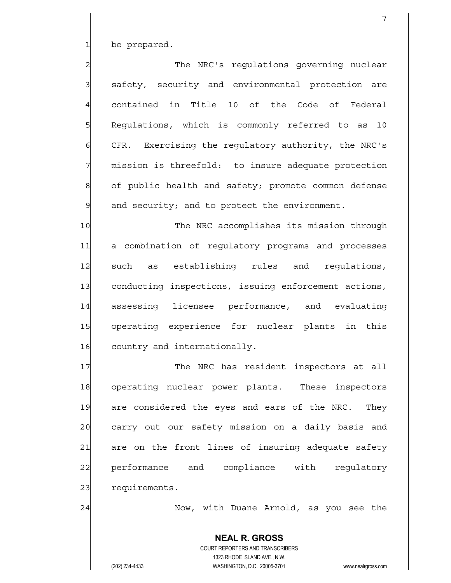$1$  be prepared.

2 and The NRC's regulations governing nuclear 3 | safety, security and environmental protection are 4 contained in Title 10 of the Code of Federal 5 Requlations, which is commonly referred to as 10  $\delta$  CFR. Exercising the regulatory authority, the NRC's  $7$  mission is threefold: to insure adequate protection 8 of public health and safety; promote common defense  $9$  and security; and to protect the environment.

7

10 The NRC accomplishes its mission through 11 a combination of regulatory programs and processes 12 such as establishing rules and requlations, 13 conducting inspections, issuing enforcement actions, 14 assessing licensee performance, and evaluating 15 operating experience for nuclear plants in this 16 country and internationally.

17 The NRC has resident inspectors at all 18 operating nuclear power plants. These inspectors 19 are considered the eyes and ears of the NRC. They 20 carry out our safety mission on a daily basis and 21 are on the front lines of insuring adequate safety 22 performance and compliance with requlatory 23 requirements.

24 Now, with Duane Arnold, as you see the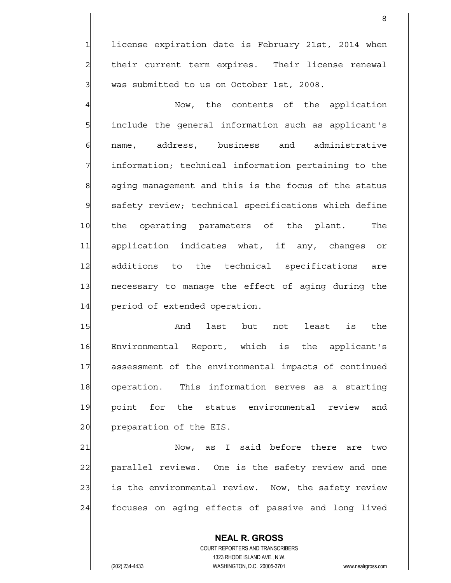$1$  license expiration date is February 21st, 2014 when  $2$  their current term expires. Their license renewal  $3$  was submitted to us on October 1st, 2008.

en andere de la provincia de la provincia de la provincia de la provincia de la provincia de la provincia del<br>Referències

4 and the contents of the application 5 | include the general information such as applicant's 6 name, address, business and administrative 7 | information; technical information pertaining to the 8 aging management and this is the focus of the status 9 safety review; technical specifications which define 10 the operating parameters of the plant. The 11 application indicates what, if any, changes or 12 additions to the technical specifications are 13 necessary to manage the effect of aging during the 14 period of extended operation.

15 and last but not least is the 16 Environmental Report, which is the applicant's 17 assessment of the environmental impacts of continued 18 operation. This information serves as a starting 19 point for the status environmental review and 20 | preparation of the EIS.

21 | Now, as I said before there are two 22 parallel reviews. One is the safety review and one 23 is the environmental review. Now, the safety review 24 focuses on aging effects of passive and long lived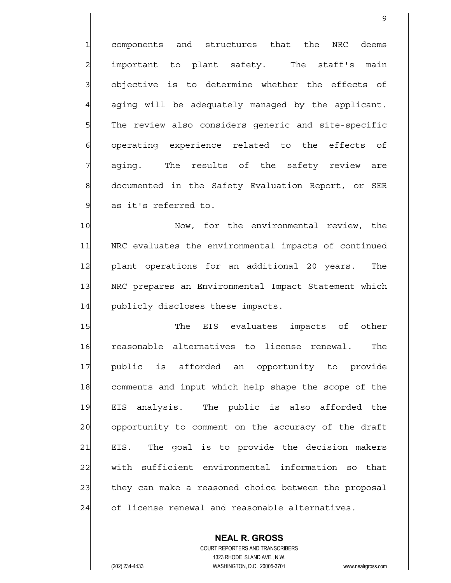1 components and structures that the NRC deems  $2$  important to plant safety. The staff's main  $3$  objective is to determine whether the effects of  $4$  aging will be adequately managed by the applicant. 5 The review also considers generic and site-specific  $6$  operating experience related to the effects of  $7\vert$  aging. The results of the safety review are 8 documented in the Safety Evaluation Report, or SER 9 as it's referred to.

10 Now, for the environmental review, the 11 | NRC evaluates the environmental impacts of continued 12 plant operations for an additional 20 years. The 13 | NRC prepares an Environmental Impact Statement which 14 publicly discloses these impacts.

15 The EIS evaluates impacts of other 16 reasonable alternatives to license renewal. The 17 public is afforded an opportunity to provide 18 comments and input which help shape the scope of the 19 EIS analysis. The public is also afforded the 20 opportunity to comment on the accuracy of the draft 21 EIS. The goal is to provide the decision makers 22 with sufficient environmental information so that 23 they can make a reasoned choice between the proposal 24 of license renewal and reasonable alternatives.

> COURT REPORTERS AND TRANSCRIBERS 1323 RHODE ISLAND AVE., N.W. (202) 234-4433 WASHINGTON, D.C. 20005-3701 www.nealrgross.com

 **NEAL R. GROSS**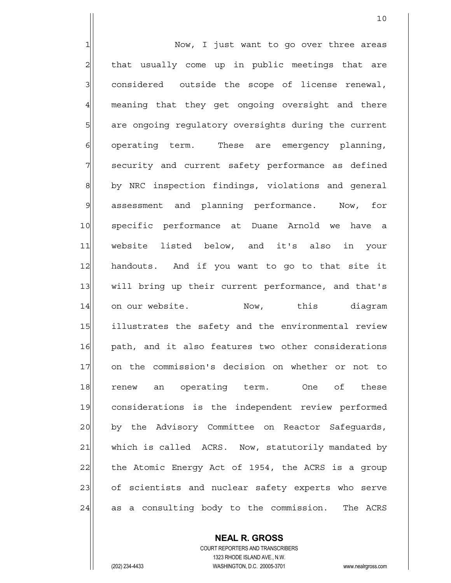1 1 Now, I just want to go over three areas  $2$  that usually come up in public meetings that are  $3$  considered outside the scope of license renewal, 4 meaning that they get ongoing oversight and there 5 | are ongoing regulatory oversights during the current  $6$  operating term. These are emergency planning, 7 security and current safety performance as defined 8 by NRC inspection findings, violations and general 9 assessment and planning performance. Now, for 10 specific performance at Duane Arnold we have a 11 website listed below, and it's also in your 12 handouts. And if you want to go to that site it 13 will bring up their current performance, and that's 14 on our website. Now, this diagram 15 illustrates the safety and the environmental review 16 path, and it also features two other considerations 17 on the commission's decision on whether or not to 18 renew an operating term. One of these 19 considerations is the independent review performed 20 by the Advisory Committee on Reactor Safeguards, 21 which is called ACRS. Now, statutorily mandated by 22 the Atomic Energy Act of 1954, the ACRS is a group 23 of scientists and nuclear safety experts who serve 24 as a consulting body to the commission. The ACRS

10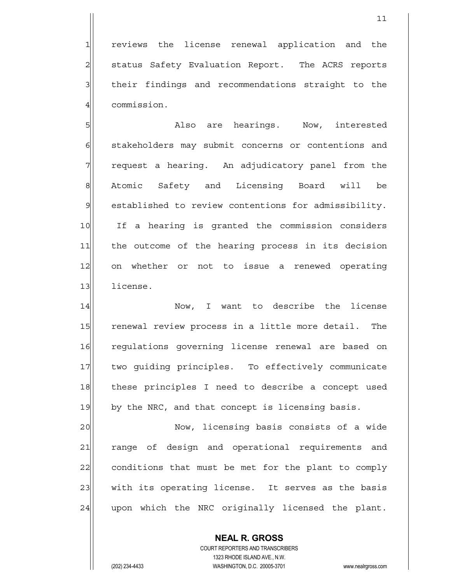1 reviews the license renewal application and the 2 | status Safety Evaluation Report. The ACRS reports  $3$  their findings and recommendations straight to the 4 commission.

5 | Solution and Marken are hearings. Now, interested 6 stakeholders may submit concerns or contentions and  $7$  request a hearing. An adjudicatory panel from the 8 Atomic Safety and Licensing Board will be 9 established to review contentions for admissibility. 10 If a hearing is granted the commission considers 11 the outcome of the hearing process in its decision 12 on whether or not to issue a renewed operating 13 license.

14 Now, I want to describe the license 15 renewal review process in a little more detail. The 16 regulations governing license renewal are based on 17 | two guiding principles. To effectively communicate 18 | these principles I need to describe a concept used 19 by the NRC, and that concept is licensing basis.

20 Now, licensing basis consists of a wide 21 | range of design and operational requirements and 22 conditions that must be met for the plant to comply 23 with its operating license. It serves as the basis 24 upon which the NRC originally licensed the plant.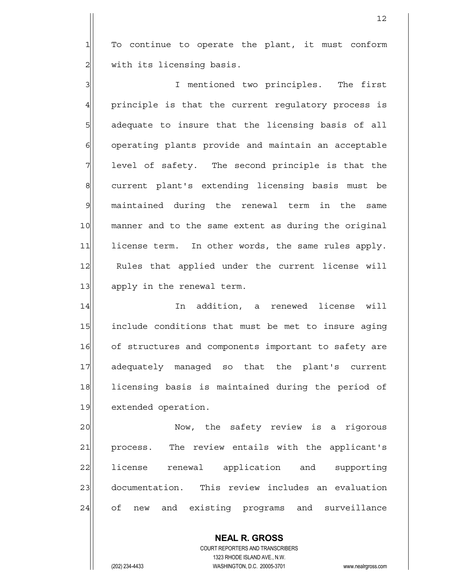$1$  To continue to operate the plant, it must conform  $2$  with its licensing basis.

3<sup>|</sup> I mentioned two principles. The first  $4$  principle is that the current regulatory process is  $5$  adequate to insure that the licensing basis of all  $6$  operating plants provide and maintain an acceptable  $7$  level of safety. The second principle is that the 8 8 current plant's extending licensing basis must be 9 maintained during the renewal term in the same 10 manner and to the same extent as during the original 11 license term. In other words, the same rules apply. 12 Rules that applied under the current license will 13 apply in the renewal term.

14 In addition, a renewed license will 15 | include conditions that must be met to insure aging 16 of structures and components important to safety are 17 adequately managed so that the plant's current 18 licensing basis is maintained during the period of 19 extended operation.

20 Now, the safety review is a rigorous 21 process. The review entails with the applicant's 22 license renewal application and supporting 23 documentation. This review includes an evaluation 24 of new and existing programs and surveillance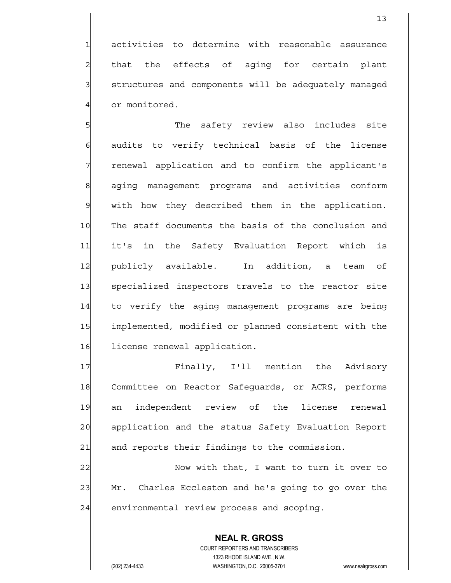1 activities to determine with reasonable assurance  $2$  that the effects of aging for certain plant 3 3 structures and components will be adequately managed 4 or monitored.

5 SI  $6$  audits to verify technical basis of the license  $7$  renewal application and to confirm the applicant's 8 aging management programs and activities conform 9 with how they described them in the application. 10 The staff documents the basis of the conclusion and 11 it's in the Safety Evaluation Report which is 12 publicly available. In addition, a team of 13 specialized inspectors travels to the reactor site 14 to verify the aging management programs are being 15 implemented, modified or planned consistent with the 16 license renewal application.

17 | Finally, I'll mention the Advisory 18 Committee on Reactor Safeguards, or ACRS, performs 19 an independent review of the license renewal 20 application and the status Safety Evaluation Report 21 and reports their findings to the commission.

22 Now with that, I want to turn it over to 23 Mr. Charles Eccleston and he's going to go over the  $24$  environmental review process and scoping.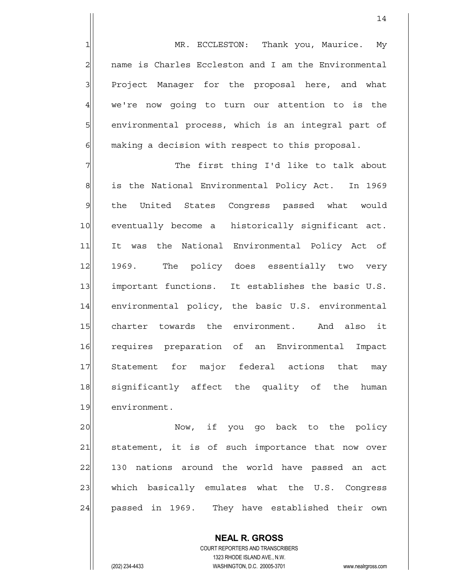14

1 MR. ECCLESTON: Thank you, Maurice. My  $2$  name is Charles Eccleston and I am the Environmental  $3$  Project Manager for the proposal here, and what 4 we're now going to turn our attention to is the 5 s b environmental process, which is an integral part of  $6$  making a decision with respect to this proposal.

7 The first thing I'd like to talk about 8 8 is the National Environmental Policy Act. In 1969 9 the United States Congress passed what would 10 eventually become a historically significant act. 11 It was the National Environmental Policy Act of 12 1969. The policy does essentially two very 13 important functions. It establishes the basic U.S. 14 environmental policy, the basic U.S. environmental 15 charter towards the environment. And also it 16 requires preparation of an Environmental Impact 17 Statement for major federal actions that may 18 significantly affect the quality of the human 19 environment.

20 Now, if you go back to the policy 21 statement, it is of such importance that now over 22 130 nations around the world have passed an act 23 which basically emulates what the U.S. Congress 24 passed in 1969. They have established their own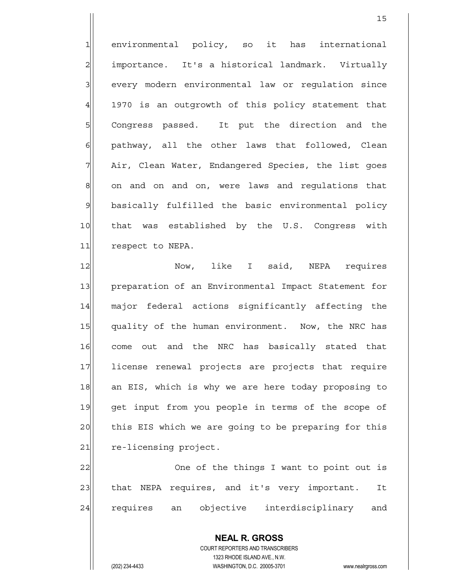1 environmental policy, so it has international 2 importance. It's a historical landmark. Virtually 3 | every modern environmental law or requlation since 4 1970 is an outgrowth of this policy statement that 5 SQ Congress passed. It put the direction and the 6| pathway, all the other laws that followed, Clean  $7$  Air, Clean Water, Endangered Species, the list goes 8 8 8 on and on and on, were laws and regulations that 9 basically fulfilled the basic environmental policy 10 | that was established by the U.S. Congress with 11 respect to NEPA.

15

12 Now, like I said, NEPA requires 13 preparation of an Environmental Impact Statement for 14 major federal actions significantly affecting the 15 quality of the human environment. Now, the NRC has 16 come out and the NRC has basically stated that 17 license renewal projects are projects that require 18 an EIS, which is why we are here today proposing to 19 get input from you people in terms of the scope of 20 this EIS which we are going to be preparing for this 21 re-licensing project.

22 One of the things I want to point out is 23 that NEPA requires, and it's very important. It 24 requires an objective interdisciplinary and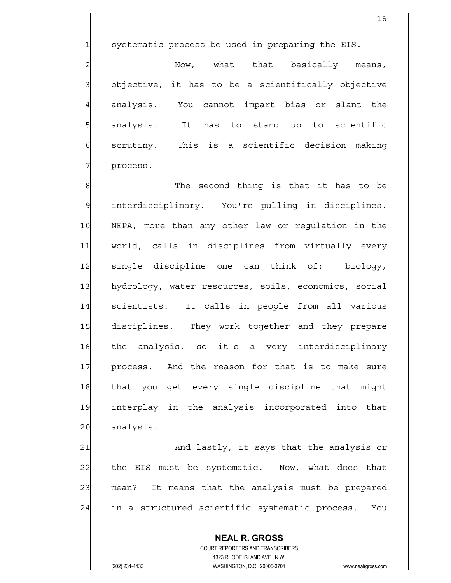$1$  systematic process be used in preparing the EIS.

 $2 \vert$   $\vert$  Now, what that basically means,  $3$  objective, it has to be a scientifically objective 4 analysis. You cannot impart bias or slant the 5 s analysis. It has to stand up to scientific  $6$  scrutiny. This is a scientific decision making 7 process.

8 8 9 interdisciplinary. You're pulling in disciplines. 10 NEPA, more than any other law or regulation in the 11 world, calls in disciplines from virtually every 12 single discipline one can think of: biology, 13 hydrology, water resources, soils, economics, social 14 scientists. It calls in people from all various 15 disciplines. They work together and they prepare 16 the analysis, so it's a very interdisciplinary 17 process. And the reason for that is to make sure 18 | that you get every single discipline that might 19 interplay in the analysis incorporated into that 20 analysis.

21 and lastly, it says that the analysis or 22 the EIS must be systematic. Now, what does that 23 mean? It means that the analysis must be prepared 24 in a structured scientific systematic process. You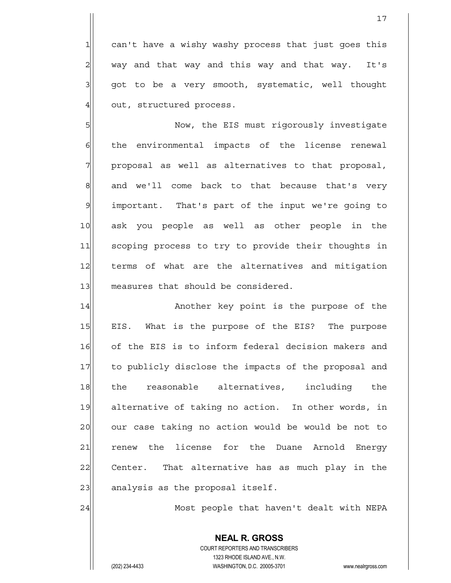can't have a wishy washy process that just goes this 2| way and that way and this way and that way. It's qot to be a very smooth, systematic, well thought out, structured process.

5 S  $6$  the environmental impacts of the license renewal  $7$  proposal as well as alternatives to that proposal, 8 and we'll come back to that because that's very 9 important. That's part of the input we're going to 10 ask you people as well as other people in the 11 scoping process to try to provide their thoughts in 12 terms of what are the alternatives and mitigation 13 measures that should be considered.

14 | Another key point is the purpose of the 15 EIS. What is the purpose of the EIS? The purpose 16 of the EIS is to inform federal decision makers and 17 to publicly disclose the impacts of the proposal and 18 the reasonable alternatives, including the 19 alternative of taking no action. In other words, in 20 our case taking no action would be would be not to 21 renew the license for the Duane Arnold Energy 22 Center. That alternative has as much play in the  $23$  analysis as the proposal itself.

24 Most people that haven't dealt with NEPA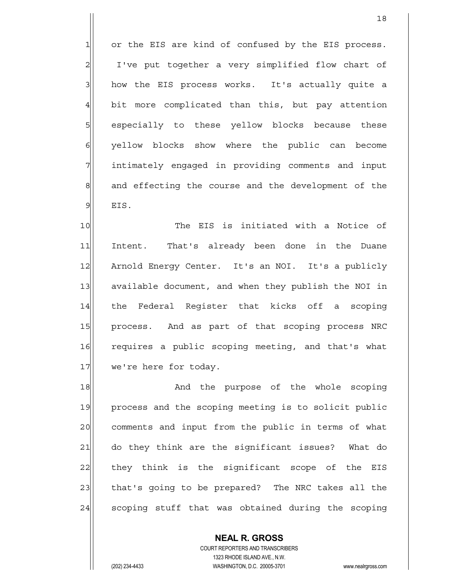$1$  or the EIS are kind of confused by the EIS process.  $2$  I've put together a very simplified flow chart of  $3$  how the EIS process works. It's actually quite a 4 bit more complicated than this, but pay attention 5 s bespecially to these yellow blocks because these 6 yellow blocks show where the public can become 7 intimately engaged in providing comments and input 8 8 and effecting the course and the development of the  $9$  EIS.

10 The EIS is initiated with a Notice of 11 Intent. That's already been done in the Duane 12 Arnold Energy Center. It's an NOI. It's a publicly 13 available document, and when they publish the NOI in 14 the Federal Reqister that kicks off a scoping 15 | process. And as part of that scoping process NRC 16 requires a public scoping meeting, and that's what 17 we're here for today.

18 and the purpose of the whole scoping 19 process and the scoping meeting is to solicit public 20 comments and input from the public in terms of what 21 do they think are the significant issues? What do 22 they think is the significant scope of the EIS 23 that's going to be prepared? The NRC takes all the 24 scoping stuff that was obtained during the scoping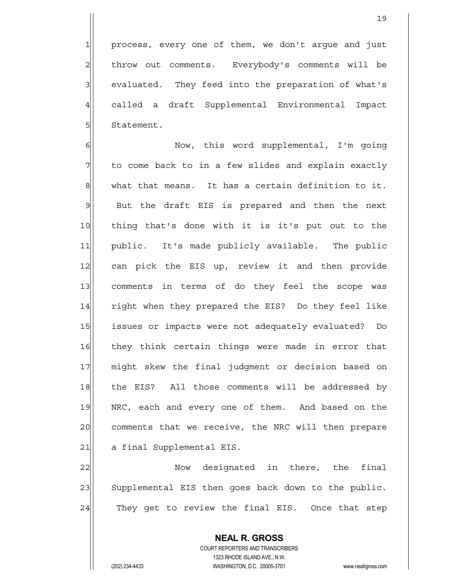$3$  evaluated. They feed into the preparation of what's 4 called a draft Supplemental Environmental Impact 5 Statement.

6 | Now, this word supplemental, I'm going  $7$  to come back to in a few slides and explain exactly  $8$  what that means. It has a certain definition to it. 9 But the draft EIS is prepared and then the next 10 thing that's done with it is it's put out to the 11 public. It's made publicly available. The public 12 can pick the EIS up, review it and then provide 13 comments in terms of do they feel the scope was 14 right when they prepared the EIS? Do they feel like 15 issues or impacts were not adequately evaluated? Do 16 they think certain things were made in error that 17 might skew the final judgment or decision based on 18 | the EIS? All those comments will be addressed by 19 NRC, each and every one of them. And based on the 20 comments that we receive, the NRC will then prepare 21 a final Supplemental EIS.

22 Now designated in there, the final 23 Supplemental EIS then goes back down to the public. 24 They get to review the final EIS. Once that step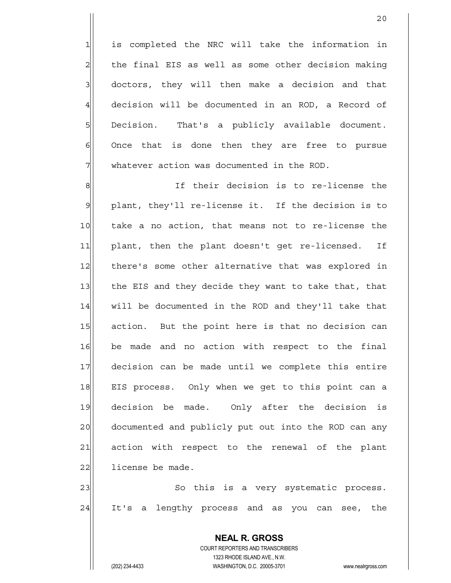20

 is completed the NRC will take the information in the final EIS as well as some other decision making doctors, they will then make a decision and that 4 decision will be documented in an ROD, a Record of 5 Decision. That's a publicly available document. Once that is done then they are free to pursue whatever action was documented in the ROD.

8 8 8 If their decision is to re-license the 9 plant, they'll re-license it. If the decision is to 10 take a no action, that means not to re-license the 11 plant, then the plant doesn't get re-licensed. If 12 there's some other alternative that was explored in 13 the EIS and they decide they want to take that, that 14 will be documented in the ROD and they'll take that 15 action. But the point here is that no decision can 16 be made and no action with respect to the final 17 decision can be made until we complete this entire 18 EIS process. Only when we get to this point can a 19 decision be made. Only after the decision is 20 documented and publicly put out into the ROD can any 21 action with respect to the renewal of the plant  $22$  license be made.

23 | So this is a very systematic process. 24 It's a lengthy process and as you can see, the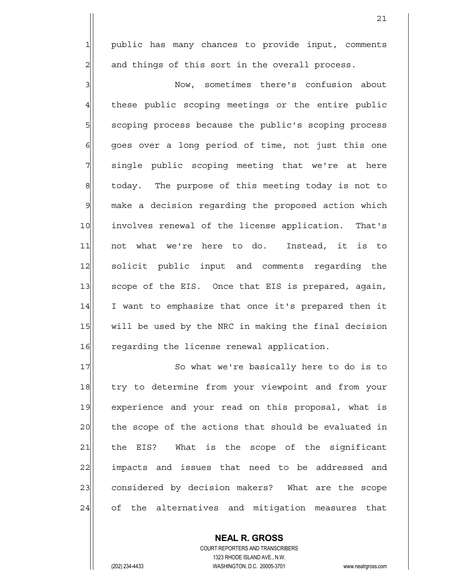$1$  public has many chances to provide input, comments  $2$  and things of this sort in the overall process.

3 Now, sometimes there's confusion about 4 these public scoping meetings or the entire public 5 scoping process because the public's scoping process  $\delta$  goes over a long period of time, not just this one  $7$  single public scoping meeting that we're at here 8 6 8 1 today. The purpose of this meeting today is not to 9 make a decision regarding the proposed action which 10 involves renewal of the license application. That's 11 not what we're here to do. Instead, it is to 12 solicit public input and comments regarding the 13 Scope of the EIS. Once that EIS is prepared, again, 14 I want to emphasize that once it's prepared then it 15| will be used by the NRC in making the final decision 16 regarding the license renewal application.

17 So what we're basically here to do is to 18 try to determine from your viewpoint and from your 19 experience and your read on this proposal, what is 20 the scope of the actions that should be evaluated in 21 | the EIS? What is the scope of the significant 22 impacts and issues that need to be addressed and 23 considered by decision makers? What are the scope 24 of the alternatives and mitigation measures that

> COURT REPORTERS AND TRANSCRIBERS 1323 RHODE ISLAND AVE., N.W. (202) 234-4433 WASHINGTON, D.C. 20005-3701 www.nealrgross.com

 **NEAL R. GROSS**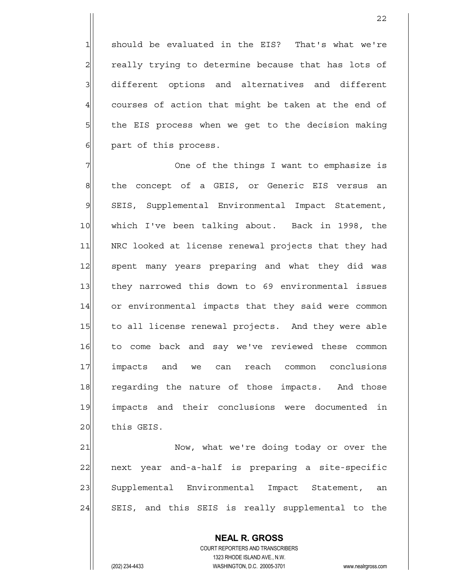should be evaluated in the EIS? That's what we're really trying to determine because that has lots of 3 different options and alternatives and different courses of action that might be taken at the end of the EIS process when we get to the decision making part of this process.

7 7 One of the things I want to emphasize is 8 8 b de concept of a GEIS, or Generic EIS versus an 9 SEIS, Supplemental Environmental Impact Statement, 10 which I've been talking about. Back in 1998, the 11 | NRC looked at license renewal projects that they had 12 spent many years preparing and what they did was 13 they narrowed this down to 69 environmental issues 14 or environmental impacts that they said were common 15 to all license renewal projects. And they were able 16 to come back and say we've reviewed these common 17 impacts and we can reach common conclusions 18 regarding the nature of those impacts. And those 19 impacts and their conclusions were documented in 20 this GEIS.

21 Now, what we're doing today or over the 22 next year and-a-half is preparing a site-specific 23 Supplemental Environmental Impact Statement, an 24 SEIS, and this SEIS is really supplemental to the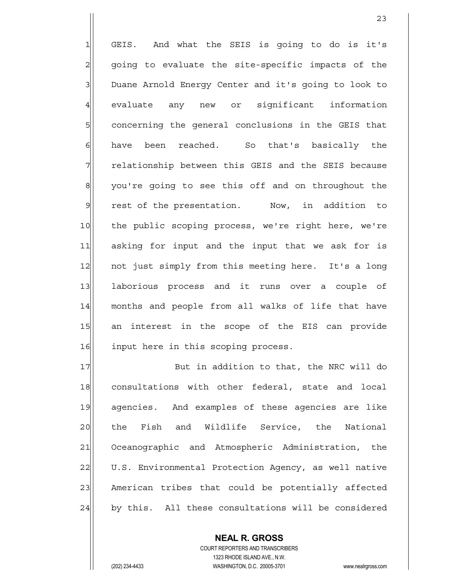1 GEIS. And what the SEIS is going to do is it's  $2$  going to evaluate the site-specific impacts of the 3 Duane Arnold Energy Center and it's going to look to 4 evaluate any new or significant information 5 s concerning the general conclusions in the GEIS that 6 have been reached. So that's basically the 7 relationship between this GEIS and the SEIS because 8 | you're going to see this off and on throughout the 9 rest of the presentation. Now, in addition to 10 the public scoping process, we're right here, we're 11 asking for input and the input that we ask for is 12 not just simply from this meeting here. It's a long 13 laborious process and it runs over a couple of 14 months and people from all walks of life that have 15 an interest in the scope of the EIS can provide 16 input here in this scoping process.

17 But in addition to that, the NRC will do 18 consultations with other federal, state and local 19 agencies. And examples of these agencies are like 20 | the Fish and Wildlife Service, the National 21 Oceanographic and Atmospheric Administration, the 22 U.S. Environmental Protection Agency, as well native 23 American tribes that could be potentially affected 24 by this. All these consultations will be considered

> COURT REPORTERS AND TRANSCRIBERS 1323 RHODE ISLAND AVE., N.W. (202) 234-4433 WASHINGTON, D.C. 20005-3701 www.nealrgross.com

 **NEAL R. GROSS**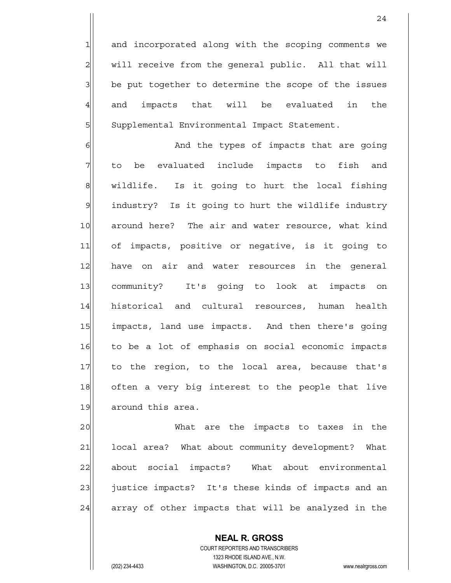$1$  and incorporated along with the scoping comments we  $2$  will receive from the general public. All that will 3| be put together to determine the scope of the issues  $4$  and impacts that will be evaluated in the 5 Supplemental Environmental Impact Statement.

6 6 And the types of impacts that are going  $7$  to be evaluated include impacts to fish and 8 | wildlife. Is it going to hurt the local fishing 9 | industry? Is it going to hurt the wildlife industry 10 around here? The air and water resource, what kind 11 of impacts, positive or negative, is it going to 12 have on air and water resources in the general 13 community? It's going to look at impacts on 14 historical and cultural resources, human health 15 | impacts, land use impacts. And then there's going 16 to be a lot of emphasis on social economic impacts 17 to the region, to the local area, because that's 18 often a very big interest to the people that live 19 around this area.

20 What are the impacts to taxes in the 21 | local area? What about community development? What 22 about social impacts? What about environmental 23 justice impacts? It's these kinds of impacts and an 24 array of other impacts that will be analyzed in the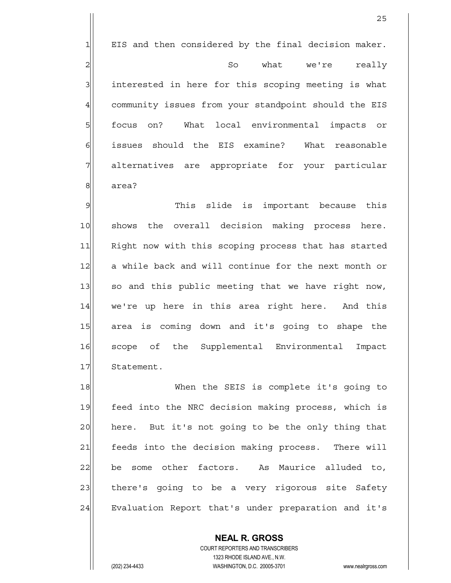$1$  EIS and then considered by the final decision maker. 2 | 2| So what we're really  $3$  interested in here for this scoping meeting is what 4 community issues from your standpoint should the EIS 5 focus on? What local environmental impacts or 6 issues should the EIS examine? What reasonable 7 alternatives are appropriate for your particular 8 area?

9 This slide is important because this 10 shows the overall decision making process here. 11 Right now with this scoping process that has started 12 a while back and will continue for the next month or 13 so and this public meeting that we have right now, 14| we're up here in this area right here. And this 15 area is coming down and it's going to shape the 16 scope of the Supplemental Environmental Impact 17 Statement.

18 Mhen the SEIS is complete it's going to 19 feed into the NRC decision making process, which is 20 here. But it's not going to be the only thing that 21 feeds into the decision making process. There will 22 be some other factors. As Maurice alluded to, 23 there's going to be a very rigorous site Safety 24 Evaluation Report that's under preparation and it's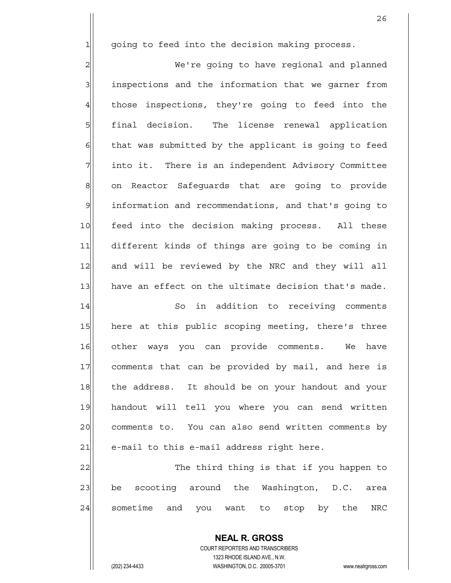$1$  qoing to feed into the decision making process.

2 | We're going to have regional and planned 3 3 inspections and the information that we garner from 4 those inspections, they're going to feed into the 5 final decision. The license renewal application  $6$  that was submitted by the applicant is going to feed  $7$  into it. There is an independent Advisory Committee 8 on Reactor Safeguards that are going to provide 9 information and recommendations, and that's going to 10 feed into the decision making process. All these 11 different kinds of things are going to be coming in 12 and will be reviewed by the NRC and they will all 13 have an effect on the ultimate decision that's made. 14 So in addition to receiving comments 15 here at this public scoping meeting, there's three 16 other ways you can provide comments. We have 17 comments that can be provided by mail, and here is 18 | the address. It should be on your handout and your 19 handout will tell you where you can send written 20 comments to. You can also send written comments by

 $21$  e-mail to this e-mail address right here.

22 The third thing is that if you happen to 23 be scooting around the Washington, D.C. area  $24$  sometime and you want to stop by the NRC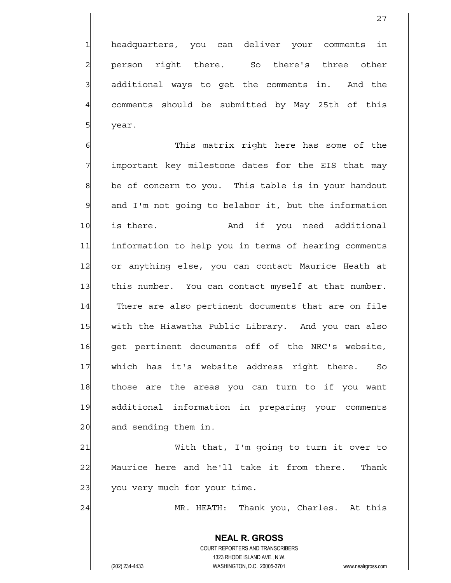1 headquarters, you can deliver your comments in 2 person right there. So there's three other  $3$  additional ways to get the comments in. And the 4 comments should be submitted by May 25th of this 5 year.

27

6 6 This matrix right here has some of the  $7$  important key milestone dates for the EIS that may 8 be of concern to you. This table is in your handout 9 and I'm not going to belabor it, but the information 10 is there. And if you need additional 11 information to help you in terms of hearing comments 12 or anything else, you can contact Maurice Heath at 13 this number. You can contact myself at that number. 14 There are also pertinent documents that are on file 15 | with the Hiawatha Public Library. And you can also 16 get pertinent documents off of the NRC's website, 17 which has it's website address right there. So 18 those are the areas you can turn to if you want 19 additional information in preparing your comments 20 and sending them in.

21 With that, I'm going to turn it over to 22 | Maurice here and he'll take it from there. Thank 23 you very much for your time.

24 MR. HEATH: Thank you, Charles. At this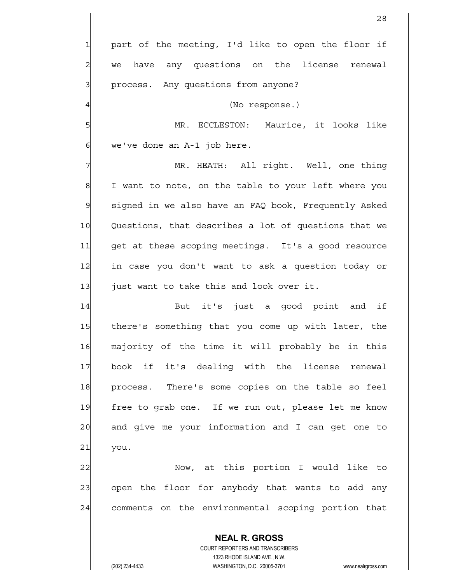**NEAL R. GROSS** COURT REPORTERS AND TRANSCRIBERS 28  $1$  part of the meeting, I'd like to open the floor if  $2$  we have any questions on the license renewal 3 | process. Any questions from anyone? 4 (No response.) 5 MR. ECCLESTON: Maurice, it looks like  $6$  we've done an A-1 job here. 7 MR. HEATH: All right. Well, one thing 8 I want to note, on the table to your left where you 9 signed in we also have an FAQ book, Frequently Asked 10 Questions, that describes a lot of questions that we 11 get at these scoping meetings. It's a good resource 12 in case you don't want to ask a question today or 13 just want to take this and look over it. 14 But it's just a good point and if 15 there's something that you come up with later, the 16 majority of the time it will probably be in this 17 book if it's dealing with the license renewal 18 | process. There's some copies on the table so feel 19 free to grab one. If we run out, please let me know 20 and give me your information and I can get one to  $21$  you. 22 Now, at this portion I would like to 23 open the floor for anybody that wants to add any 24 comments on the environmental scoping portion that

1323 RHODE ISLAND AVE., N.W.

(202) 234-4433 WASHINGTON, D.C. 20005-3701 www.nealrgross.com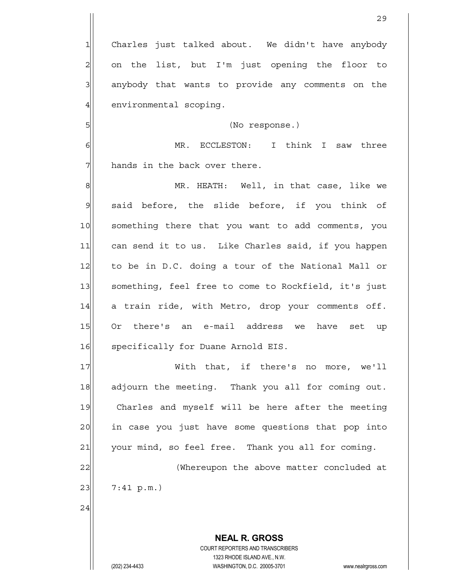Charles just talked about. We didn't have anybody on the list, but I'm just opening the floor to anybody that wants to provide any comments on the 4 environmental scoping.

5 | Solomon (No response.)

6 MR. ECCLESTON: I think I saw three  $7$  hands in the back over there.

8 MR. HEATH: Well, in that case, like we 9 said before, the slide before, if you think of 10 something there that you want to add comments, you 11 can send it to us. Like Charles said, if you happen 12 to be in D.C. doing a tour of the National Mall or 13 | something, feel free to come to Rockfield, it's just 14 a train ride, with Metro, drop your comments off. 15 Or there's an e-mail address we have set up 16 specifically for Duane Arnold EIS.

17 With that, if there's no more, we'll 18 adjourn the meeting. Thank you all for coming out. 19 Charles and myself will be here after the meeting 20 in case you just have some questions that pop into  $21$  your mind, so feel free. Thank you all for coming. 22 (Whereupon the above matter concluded at

 $23$  7:41 p.m.)

24